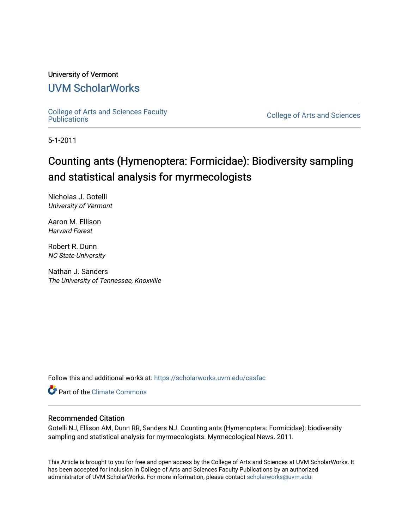#### University of Vermont

### [UVM ScholarWorks](https://scholarworks.uvm.edu/)

[College of Arts and Sciences Faculty](https://scholarworks.uvm.edu/casfac)

**College of Arts and Sciences** 

5-1-2011

## Counting ants (Hymenoptera: Formicidae): Biodiversity sampling and statistical analysis for myrmecologists

Nicholas J. Gotelli University of Vermont

Aaron M. Ellison Harvard Forest

Robert R. Dunn NC State University

Nathan J. Sanders The University of Tennessee, Knoxville

Follow this and additional works at: [https://scholarworks.uvm.edu/casfac](https://scholarworks.uvm.edu/casfac?utm_source=scholarworks.uvm.edu%2Fcasfac%2F95&utm_medium=PDF&utm_campaign=PDFCoverPages) 

**C** Part of the Climate Commons

#### Recommended Citation

Gotelli NJ, Ellison AM, Dunn RR, Sanders NJ. Counting ants (Hymenoptera: Formicidae): biodiversity sampling and statistical analysis for myrmecologists. Myrmecological News. 2011.

This Article is brought to you for free and open access by the College of Arts and Sciences at UVM ScholarWorks. It has been accepted for inclusion in College of Arts and Sciences Faculty Publications by an authorized administrator of UVM ScholarWorks. For more information, please contact [scholarworks@uvm.edu](mailto:scholarworks@uvm.edu).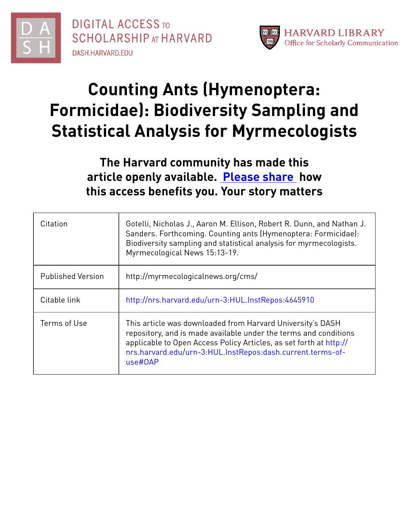



# **Counting Ants (Hymenoptera: Formicidae): Biodiversity Sampling and Statistical Analysis for Myrmecologists**

## **The Harvard community has made this article openly available. [Please](http://osc.hul.harvard.edu/dash/open-access-feedback?handle=&title=Counting%20Ants%20(Hymenoptera:%20Formicidae):%20Biodiversity%20Sampling%20and%20Statistical%20Analysis%20for%20Myrmecologists&community=1/1&collection=1/2&owningCollection1/2&harvardAuthors=7deddc930d83f55d52663711b0143311&departmentOrganismic%20and%20Evolutionary%20Biology) share how this access benefits you. Your story matters**

| Citation                 | Gotelli, Nicholas J., Aaron M. Ellison, Robert R. Dunn, and Nathan J.<br>Sanders. Forthcoming. Counting ants (Hymenoptera: Formicidae):<br>Biodiversity sampling and statistical analysis for myrmecologists.<br>Myrmecological News 15:13-19.                                |
|--------------------------|-------------------------------------------------------------------------------------------------------------------------------------------------------------------------------------------------------------------------------------------------------------------------------|
| <b>Published Version</b> | http://myrmecologicalnews.org/cms/                                                                                                                                                                                                                                            |
| Citable link             | http://nrs.harvard.edu/urn-3:HUL.InstRepos:4645910                                                                                                                                                                                                                            |
| Terms of Use             | This article was downloaded from Harvard University's DASH<br>repository, and is made available under the terms and conditions<br>applicable to Open Access Policy Articles, as set forth at http://<br>nrs.harvard.edu/urn-3:HUL.InstRepos:dash.current.terms-of-<br>use#OAP |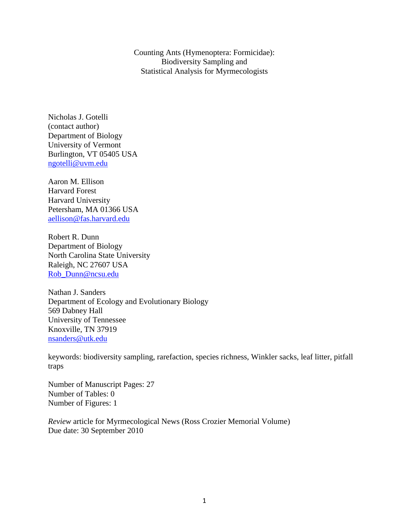Counting Ants (Hymenoptera: Formicidae): Biodiversity Sampling and Statistical Analysis for Myrmecologists

Nicholas J. Gotelli (contact author) Department of Biology University of Vermont Burlington, VT 05405 USA [ngotelli@uvm.edu](mailto:ngotelli@uvm.edu)

Aaron M. Ellison Harvard Forest Harvard University Petersham, MA 01366 USA [aellison@fas.harvard.edu](mailto:aellison@fas.harvard.edu)

Robert R. Dunn Department of Biology North Carolina State University Raleigh, NC 27607 USA Rob\_Dunn@ncsu.edu

Nathan J. Sanders Department of Ecology and Evolutionary Biology 569 Dabney Hall University of Tennessee Knoxville, TN 37919 nsanders@utk.edu

keywords: biodiversity sampling, rarefaction, species richness, Winkler sacks, leaf litter, pitfall traps

Number of Manuscript Pages: 27 Number of Tables: 0 Number of Figures: 1

*Review* article for Myrmecological News (Ross Crozier Memorial Volume) Due date: 30 September 2010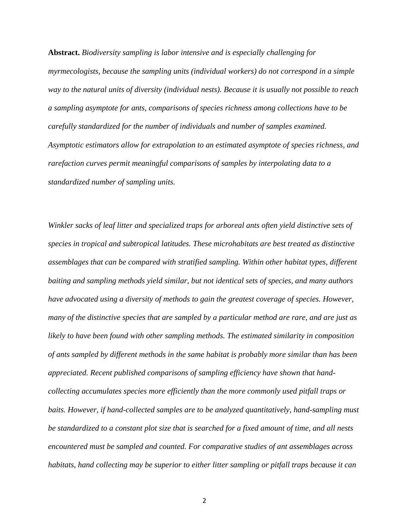**Abstract.** *Biodiversity sampling is labor intensive and is especially challenging for myrmecologists, because the sampling units (individual workers) do not correspond in a simple way to the natural units of diversity (individual nests). Because it is usually not possible to reach a sampling asymptote for ants, comparisons of species richness among collections have to be carefully standardized for the number of individuals and number of samples examined. Asymptotic estimators allow for extrapolation to an estimated asymptote of species richness, and rarefaction curves permit meaningful comparisons of samples by interpolating data to a standardized number of sampling units.*

*Winkler sacks of leaf litter and specialized traps for arboreal ants often yield distinctive sets of species in tropical and subtropical latitudes. These microhabitats are best treated as distinctive assemblages that can be compared with stratified sampling. Within other habitat types, different baiting and sampling methods yield similar, but not identical sets of species, and many authors have advocated using a diversity of methods to gain the greatest coverage of species. However, many of the distinctive species that are sampled by a particular method are rare, and are just as likely to have been found with other sampling methods. The estimated similarity in composition of ants sampled by different methods in the same habitat is probably more similar than has been appreciated. Recent published comparisons of sampling efficiency have shown that handcollecting accumulates species more efficiently than the more commonly used pitfall traps or baits. However, if hand-collected samples are to be analyzed quantitatively, hand-sampling must be standardized to a constant plot size that is searched for a fixed amount of time, and all nests encountered must be sampled and counted. For comparative studies of ant assemblages across habitats, hand collecting may be superior to either litter sampling or pitfall traps because it can*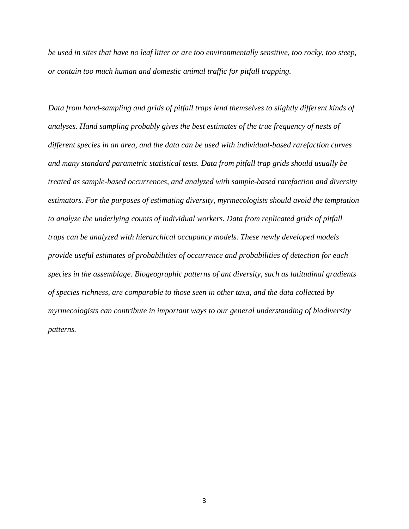*be used in sites that have no leaf litter or are too environmentally sensitive, too rocky, too steep, or contain too much human and domestic animal traffic for pitfall trapping.*

*Data from hand-sampling and grids of pitfall traps lend themselves to slightly different kinds of analyses. Hand sampling probably gives the best estimates of the true frequency of nests of different species in an area, and the data can be used with individual-based rarefaction curves and many standard parametric statistical tests. Data from pitfall trap grids should usually be treated as sample-based occurrences, and analyzed with sample-based rarefaction and diversity estimators. For the purposes of estimating diversity, myrmecologists should avoid the temptation to analyze the underlying counts of individual workers. Data from replicated grids of pitfall traps can be analyzed with hierarchical occupancy models. These newly developed models provide useful estimates of probabilities of occurrence and probabilities of detection for each species in the assemblage. Biogeographic patterns of ant diversity, such as latitudinal gradients of species richness, are comparable to those seen in other taxa, and the data collected by myrmecologists can contribute in important ways to our general understanding of biodiversity patterns.*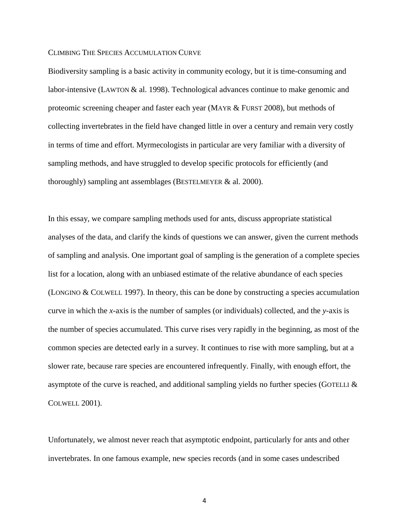#### CLIMBING THE SPECIES ACCUMULATION CURVE

Biodiversity sampling is a basic activity in community ecology, but it is time-consuming and labor-intensive (LAWTON & al. 1998). Technological advances continue to make genomic and proteomic screening cheaper and faster each year (MAYR & FURST 2008), but methods of collecting invertebrates in the field have changed little in over a century and remain very costly in terms of time and effort. Myrmecologists in particular are very familiar with a diversity of sampling methods, and have struggled to develop specific protocols for efficiently (and thoroughly) sampling ant assemblages (BESTELMEYER & al. 2000).

In this essay, we compare sampling methods used for ants, discuss appropriate statistical analyses of the data, and clarify the kinds of questions we can answer, given the current methods of sampling and analysis. One important goal of sampling is the generation of a complete species list for a location, along with an unbiased estimate of the relative abundance of each species (LONGINO & COLWELL 1997). In theory, this can be done by constructing a species accumulation curve in which the *x*-axis is the number of samples (or individuals) collected, and the *y*-axis is the number of species accumulated. This curve rises very rapidly in the beginning, as most of the common species are detected early in a survey. It continues to rise with more sampling, but at a slower rate, because rare species are encountered infrequently. Finally, with enough effort, the asymptote of the curve is reached, and additional sampling yields no further species (GOTELLI  $\&$ COLWELL 2001).

Unfortunately, we almost never reach that asymptotic endpoint, particularly for ants and other invertebrates. In one famous example, new species records (and in some cases undescribed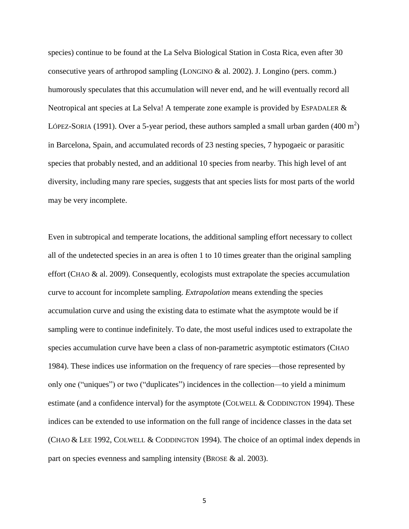species) continue to be found at the La Selva Biological Station in Costa Rica, even after 30 consecutive years of arthropod sampling (LONGINO & al. 2002). J. Longino (pers. comm.) humorously speculates that this accumulation will never end, and he will eventually record all Neotropical ant species at La Selva! A temperate zone example is provided by ESPADALER & LÓPEZ-SORIA (1991). Over a 5-year period, these authors sampled a small urban garden (400 m<sup>2</sup>) in Barcelona, Spain, and accumulated records of 23 nesting species, 7 hypogaeic or parasitic species that probably nested, and an additional 10 species from nearby. This high level of ant diversity, including many rare species, suggests that ant species lists for most parts of the world may be very incomplete.

Even in subtropical and temperate locations, the additional sampling effort necessary to collect all of the undetected species in an area is often 1 to 10 times greater than the original sampling effort (CHAO & al. 2009). Consequently, ecologists must extrapolate the species accumulation curve to account for incomplete sampling. *Extrapolation* means extending the species accumulation curve and using the existing data to estimate what the asymptote would be if sampling were to continue indefinitely. To date, the most useful indices used to extrapolate the species accumulation curve have been a class of non-parametric asymptotic estimators (CHAO 1984). These indices use information on the frequency of rare species—those represented by only one ("uniques") or two ("duplicates") incidences in the collection—to yield a minimum estimate (and a confidence interval) for the asymptote (COLWELL & CODDINGTON 1994). These indices can be extended to use information on the full range of incidence classes in the data set (CHAO & LEE 1992, COLWELL & CODDINGTON 1994). The choice of an optimal index depends in part on species evenness and sampling intensity (BROSE & al. 2003).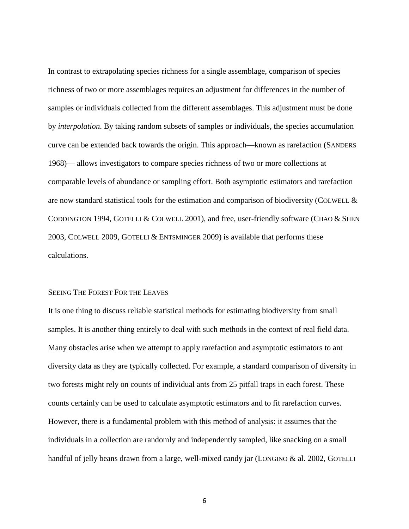In contrast to extrapolating species richness for a single assemblage, comparison of species richness of two or more assemblages requires an adjustment for differences in the number of samples or individuals collected from the different assemblages. This adjustment must be done by *interpolation*. By taking random subsets of samples or individuals, the species accumulation curve can be extended back towards the origin. This approach—known as rarefaction (SANDERS 1968)— allows investigators to compare species richness of two or more collections at comparable levels of abundance or sampling effort. Both asymptotic estimators and rarefaction are now standard statistical tools for the estimation and comparison of biodiversity (COLWELL  $\&$ CODDINGTON 1994, GOTELLI & COLWELL 2001), and free, user-friendly software (CHAO & SHEN 2003, COLWELL 2009, GOTELLI & ENTSMINGER 2009) is available that performs these calculations.

#### SEEING THE FOREST FOR THE LEAVES

It is one thing to discuss reliable statistical methods for estimating biodiversity from small samples. It is another thing entirely to deal with such methods in the context of real field data. Many obstacles arise when we attempt to apply rarefaction and asymptotic estimators to ant diversity data as they are typically collected. For example, a standard comparison of diversity in two forests might rely on counts of individual ants from 25 pitfall traps in each forest. These counts certainly can be used to calculate asymptotic estimators and to fit rarefaction curves. However, there is a fundamental problem with this method of analysis: it assumes that the individuals in a collection are randomly and independently sampled, like snacking on a small handful of jelly beans drawn from a large, well-mixed candy jar (LONGINO & al. 2002, GOTELLI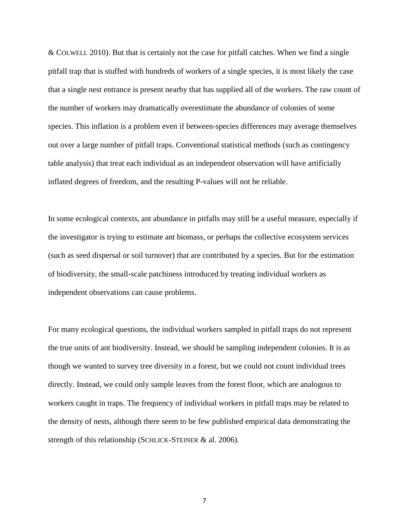& COLWELL 2010). But that is certainly not the case for pitfall catches. When we find a single pitfall trap that is stuffed with hundreds of workers of a single species, it is most likely the case that a single nest entrance is present nearby that has supplied all of the workers. The raw count of the number of workers may dramatically overestimate the abundance of colonies of some species. This inflation is a problem even if between-species differences may average themselves out over a large number of pitfall traps. Conventional statistical methods (such as contingency table analysis) that treat each individual as an independent observation will have artificially inflated degrees of freedom, and the resulting P-values will not be reliable.

In some ecological contexts, ant abundance in pitfalls may still be a useful measure, especially if the investigator is trying to estimate ant biomass, or perhaps the collective ecosystem services (such as seed dispersal or soil turnover) that are contributed by a species. But for the estimation of biodiversity, the small-scale patchiness introduced by treating individual workers as independent observations can cause problems.

For many ecological questions, the individual workers sampled in pitfall traps do not represent the true units of ant biodiversity. Instead, we should be sampling independent colonies. It is as though we wanted to survey tree diversity in a forest, but we could not count individual trees directly. Instead, we could only sample leaves from the forest floor, which are analogous to workers caught in traps. The frequency of individual workers in pitfall traps may be related to the density of nests, although there seem to be few published empirical data demonstrating the strength of this relationship (SCHLICK-STEINER & al. 2006).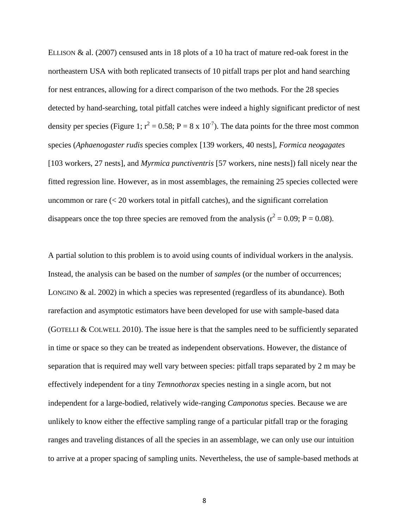ELLISON & al. (2007) censused ants in 18 plots of a 10 ha tract of mature red-oak forest in the northeastern USA with both replicated transects of 10 pitfall traps per plot and hand searching for nest entrances, allowing for a direct comparison of the two methods. For the 28 species detected by hand-searching, total pitfall catches were indeed a highly significant predictor of nest density per species (Figure 1;  $r^2 = 0.58$ ; P = 8 x 10<sup>-7</sup>). The data points for the three most common species (*Aphaenogaster rudis* species complex [139 workers, 40 nests], *Formica neogagates* [103 workers, 27 nests], and *Myrmica punctiventris* [57 workers, nine nests]) fall nicely near the fitted regression line. However, as in most assemblages, the remaining 25 species collected were uncommon or rare  $\ll$  20 workers total in pitfall catches), and the significant correlation disappears once the top three species are removed from the analysis ( $r^2 = 0.09$ ; P = 0.08).

A partial solution to this problem is to avoid using counts of individual workers in the analysis. Instead, the analysis can be based on the number of *samples* (or the number of occurrences; LONGINO & al. 2002) in which a species was represented (regardless of its abundance). Both rarefaction and asymptotic estimators have been developed for use with sample-based data (GOTELLI & COLWELL 2010). The issue here is that the samples need to be sufficiently separated in time or space so they can be treated as independent observations. However, the distance of separation that is required may well vary between species: pitfall traps separated by 2 m may be effectively independent for a tiny *Temnothorax* species nesting in a single acorn, but not independent for a large-bodied, relatively wide-ranging *Camponotus* species. Because we are unlikely to know either the effective sampling range of a particular pitfall trap or the foraging ranges and traveling distances of all the species in an assemblage, we can only use our intuition to arrive at a proper spacing of sampling units. Nevertheless, the use of sample-based methods at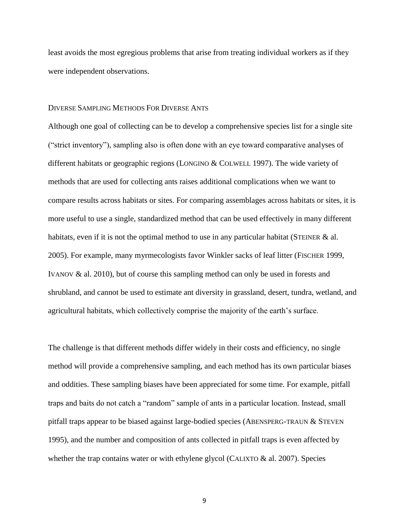least avoids the most egregious problems that arise from treating individual workers as if they were independent observations.

#### DIVERSE SAMPLING METHODS FOR DIVERSE ANTS

Although one goal of collecting can be to develop a comprehensive species list for a single site (―strict inventory‖), sampling also is often done with an eye toward comparative analyses of different habitats or geographic regions (LONGINO & COLWELL 1997). The wide variety of methods that are used for collecting ants raises additional complications when we want to compare results across habitats or sites. For comparing assemblages across habitats or sites, it is more useful to use a single, standardized method that can be used effectively in many different habitats, even if it is not the optimal method to use in any particular habitat (STEINER  $\&$  al. 2005). For example, many myrmecologists favor Winkler sacks of leaf litter (FISCHER 1999, IVANOV & al. 2010), but of course this sampling method can only be used in forests and shrubland, and cannot be used to estimate ant diversity in grassland, desert, tundra, wetland, and agricultural habitats, which collectively comprise the majority of the earth's surface.

The challenge is that different methods differ widely in their costs and efficiency, no single method will provide a comprehensive sampling, and each method has its own particular biases and oddities. These sampling biases have been appreciated for some time. For example, pitfall traps and baits do not catch a "random" sample of ants in a particular location. Instead, small pitfall traps appear to be biased against large-bodied species (ABENSPERG-TRAUN & STEVEN 1995), and the number and composition of ants collected in pitfall traps is even affected by whether the trap contains water or with ethylene glycol (CALIXTO  $\&$  al. 2007). Species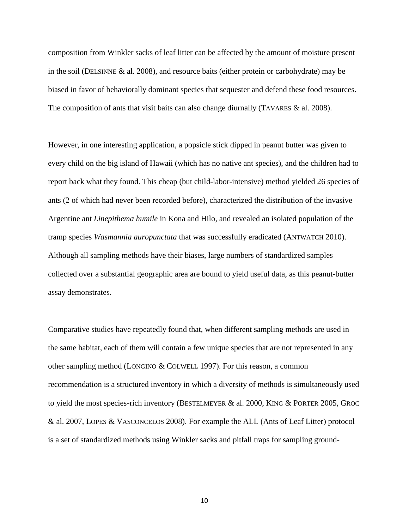composition from Winkler sacks of leaf litter can be affected by the amount of moisture present in the soil (DELSINNE & al. 2008), and resource baits (either protein or carbohydrate) may be biased in favor of behaviorally dominant species that sequester and defend these food resources. The composition of ants that visit baits can also change diurnally (TAVARES & al. 2008).

However, in one interesting application, a popsicle stick dipped in peanut butter was given to every child on the big island of Hawaii (which has no native ant species), and the children had to report back what they found. This cheap (but child-labor-intensive) method yielded 26 species of ants (2 of which had never been recorded before), characterized the distribution of the invasive Argentine ant *Linepithema humile* in Kona and Hilo, and revealed an isolated population of the tramp species *Wasmannia auropunctata* that was successfully eradicated (ANTWATCH 2010). Although all sampling methods have their biases, large numbers of standardized samples collected over a substantial geographic area are bound to yield useful data, as this peanut-butter assay demonstrates.

Comparative studies have repeatedly found that, when different sampling methods are used in the same habitat, each of them will contain a few unique species that are not represented in any other sampling method (LONGINO & COLWELL 1997). For this reason, a common recommendation is a structured inventory in which a diversity of methods is simultaneously used to yield the most species-rich inventory (BESTELMEYER & al. 2000, KING & PORTER 2005, GROC & al. 2007, LOPES & VASCONCELOS 2008). For example the ALL (Ants of Leaf Litter) protocol is a set of standardized methods using Winkler sacks and pitfall traps for sampling ground-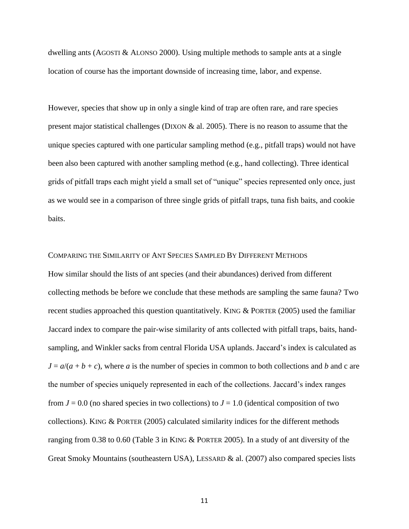dwelling ants (AGOSTI & ALONSO 2000). Using multiple methods to sample ants at a single location of course has the important downside of increasing time, labor, and expense.

However, species that show up in only a single kind of trap are often rare, and rare species present major statistical challenges (DIXON  $\&$  al. 2005). There is no reason to assume that the unique species captured with one particular sampling method (e.g., pitfall traps) would not have been also been captured with another sampling method (e.g., hand collecting). Three identical grids of pitfall traps each might yield a small set of "unique" species represented only once, just as we would see in a comparison of three single grids of pitfall traps, tuna fish baits, and cookie baits.

#### COMPARING THE SIMILARITY OF ANT SPECIES SAMPLED BY DIFFERENT METHODS

How similar should the lists of ant species (and their abundances) derived from different collecting methods be before we conclude that these methods are sampling the same fauna? Two recent studies approached this question quantitatively. KING & PORTER (2005) used the familiar Jaccard index to compare the pair-wise similarity of ants collected with pitfall traps, baits, handsampling, and Winkler sacks from central Florida USA uplands. Jaccard's index is calculated as  $J = a/(a + b + c)$ , where *a* is the number of species in common to both collections and *b* and c are the number of species uniquely represented in each of the collections. Jaccard's index ranges from  $J = 0.0$  (no shared species in two collections) to  $J = 1.0$  (identical composition of two collections). KING & PORTER (2005) calculated similarity indices for the different methods ranging from 0.38 to 0.60 (Table 3 in KING & PORTER 2005). In a study of ant diversity of the Great Smoky Mountains (southeastern USA), LESSARD & al. (2007) also compared species lists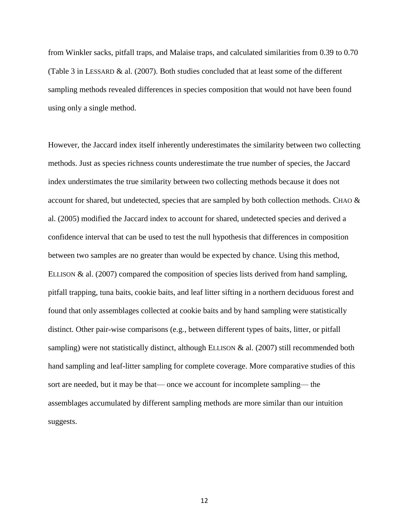from Winkler sacks, pitfall traps, and Malaise traps, and calculated similarities from 0.39 to 0.70 (Table 3 in LESSARD & al. (2007). Both studies concluded that at least some of the different sampling methods revealed differences in species composition that would not have been found using only a single method.

However, the Jaccard index itself inherently underestimates the similarity between two collecting methods. Just as species richness counts underestimate the true number of species, the Jaccard index understimates the true similarity between two collecting methods because it does not account for shared, but undetected, species that are sampled by both collection methods. CHAO  $\&$ al. (2005) modified the Jaccard index to account for shared, undetected species and derived a confidence interval that can be used to test the null hypothesis that differences in composition between two samples are no greater than would be expected by chance. Using this method, ELLISON & al. (2007) compared the composition of species lists derived from hand sampling, pitfall trapping, tuna baits, cookie baits, and leaf litter sifting in a northern deciduous forest and found that only assemblages collected at cookie baits and by hand sampling were statistically distinct. Other pair-wise comparisons (e.g., between different types of baits, litter, or pitfall sampling) were not statistically distinct, although ELLISON  $&$  al. (2007) still recommended both hand sampling and leaf-litter sampling for complete coverage. More comparative studies of this sort are needed, but it may be that— once we account for incomplete sampling— the assemblages accumulated by different sampling methods are more similar than our intuition suggests.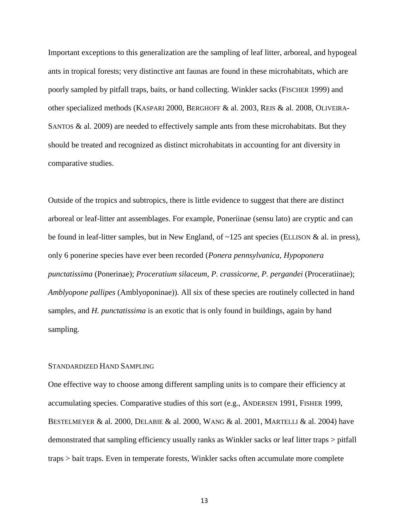Important exceptions to this generalization are the sampling of leaf litter, arboreal, and hypogeal ants in tropical forests; very distinctive ant faunas are found in these microhabitats, which are poorly sampled by pitfall traps, baits, or hand collecting. Winkler sacks (FISCHER 1999) and other specialized methods (KASPARI 2000, BERGHOFF & al. 2003, REIS & al. 2008, OLIVEIRA-SANTOS  $\&$  al. 2009) are needed to effectively sample ants from these microhabitats. But they should be treated and recognized as distinct microhabitats in accounting for ant diversity in comparative studies.

Outside of the tropics and subtropics, there is little evidence to suggest that there are distinct arboreal or leaf-litter ant assemblages. For example, Poneriinae (sensu lato) are cryptic and can be found in leaf-litter samples, but in New England, of  $\sim$ 125 ant species (ELLISON & al. in press), only 6 ponerine species have ever been recorded (*Ponera pennsylvanica, Hypoponera punctatissima* (Ponerinae); *Proceratium silaceum*, *P. crassicorne*, *P. pergandei* (Proceratiinae); *Amblyopone pallipes* (Amblyoponinae)). All six of these species are routinely collected in hand samples, and *H. punctatissima* is an exotic that is only found in buildings, again by hand sampling.

#### STANDARDIZED HAND SAMPLING

One effective way to choose among different sampling units is to compare their efficiency at accumulating species. Comparative studies of this sort (e.g., ANDERSEN 1991, FISHER 1999, BESTELMEYER & al. 2000, DELABIE & al. 2000, WANG & al. 2001, MARTELLI & al. 2004) have demonstrated that sampling efficiency usually ranks as Winkler sacks or leaf litter traps > pitfall traps > bait traps. Even in temperate forests, Winkler sacks often accumulate more complete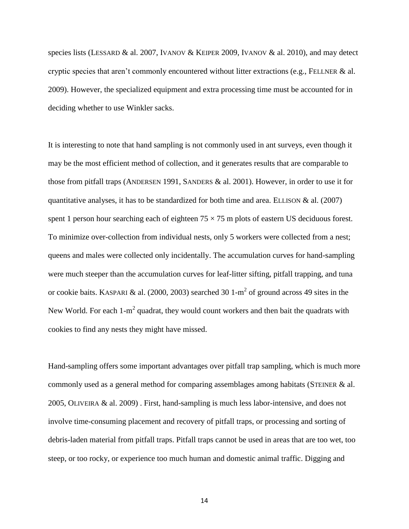species lists (LESSARD & al. 2007, IVANOV & KEIPER 2009, IVANOV & al. 2010), and may detect cryptic species that aren't commonly encountered without litter extractions (e.g., FELLNER & al. 2009). However, the specialized equipment and extra processing time must be accounted for in deciding whether to use Winkler sacks.

It is interesting to note that hand sampling is not commonly used in ant surveys, even though it may be the most efficient method of collection, and it generates results that are comparable to those from pitfall traps (ANDERSEN 1991, SANDERS & al. 2001). However, in order to use it for quantitative analyses, it has to be standardized for both time and area. ELLISON  $\&$  al. (2007) spent 1 person hour searching each of eighteen  $75 \times 75$  m plots of eastern US deciduous forest. To minimize over-collection from individual nests, only 5 workers were collected from a nest; queens and males were collected only incidentally. The accumulation curves for hand-sampling were much steeper than the accumulation curves for leaf-litter sifting, pitfall trapping, and tuna or cookie baits. KASPARI & al. (2000, 2003) searched 30 1-m<sup>2</sup> of ground across 49 sites in the New World. For each 1-m<sup>2</sup> quadrat, they would count workers and then bait the quadrats with cookies to find any nests they might have missed.

Hand-sampling offers some important advantages over pitfall trap sampling, which is much more commonly used as a general method for comparing assemblages among habitats (STEINER & al. 2005, OLIVEIRA & al. 2009) . First, hand-sampling is much less labor-intensive, and does not involve time-consuming placement and recovery of pitfall traps, or processing and sorting of debris-laden material from pitfall traps. Pitfall traps cannot be used in areas that are too wet, too steep, or too rocky, or experience too much human and domestic animal traffic. Digging and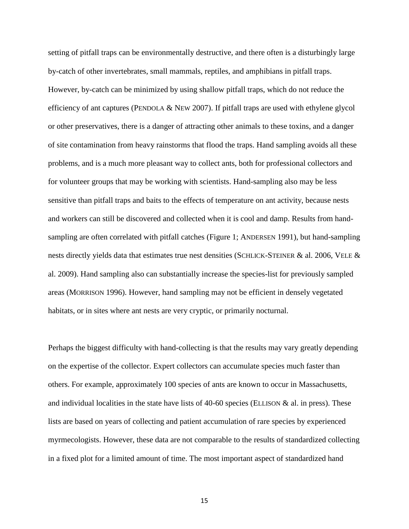setting of pitfall traps can be environmentally destructive, and there often is a disturbingly large by-catch of other invertebrates, small mammals, reptiles, and amphibians in pitfall traps. However, by-catch can be minimized by using shallow pitfall traps, which do not reduce the efficiency of ant captures (PENDOLA  $&$  NEW 2007). If pitfall traps are used with ethylene glycol or other preservatives, there is a danger of attracting other animals to these toxins, and a danger of site contamination from heavy rainstorms that flood the traps. Hand sampling avoids all these problems, and is a much more pleasant way to collect ants, both for professional collectors and for volunteer groups that may be working with scientists. Hand-sampling also may be less sensitive than pitfall traps and baits to the effects of temperature on ant activity, because nests and workers can still be discovered and collected when it is cool and damp. Results from handsampling are often correlated with pitfall catches (Figure 1; ANDERSEN 1991), but hand-sampling nests directly yields data that estimates true nest densities (SCHLICK-STEINER & al. 2006, VELE & al. 2009). Hand sampling also can substantially increase the species-list for previously sampled areas (MORRISON 1996). However, hand sampling may not be efficient in densely vegetated habitats, or in sites where ant nests are very cryptic, or primarily nocturnal.

Perhaps the biggest difficulty with hand-collecting is that the results may vary greatly depending on the expertise of the collector. Expert collectors can accumulate species much faster than others. For example, approximately 100 species of ants are known to occur in Massachusetts, and individual localities in the state have lists of  $40-60$  species (ELLISON & al. in press). These lists are based on years of collecting and patient accumulation of rare species by experienced myrmecologists. However, these data are not comparable to the results of standardized collecting in a fixed plot for a limited amount of time. The most important aspect of standardized hand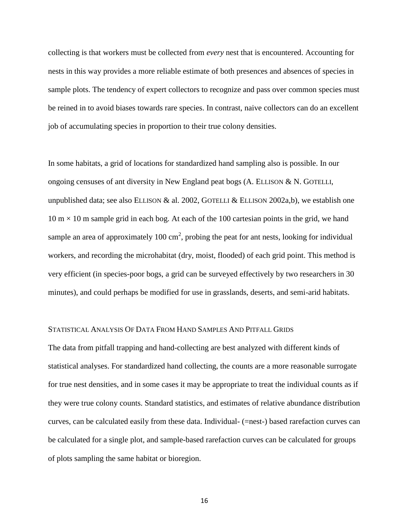collecting is that workers must be collected from *every* nest that is encountered. Accounting for nests in this way provides a more reliable estimate of both presences and absences of species in sample plots. The tendency of expert collectors to recognize and pass over common species must be reined in to avoid biases towards rare species. In contrast, naive collectors can do an excellent job of accumulating species in proportion to their true colony densities.

In some habitats, a grid of locations for standardized hand sampling also is possible. In our ongoing censuses of ant diversity in New England peat bogs (A. ELLISON & N. GOTELLI, unpublished data; see also ELLISON & al. 2002, GOTELLI & ELLISON 2002a,b), we establish one  $10 \text{ m} \times 10 \text{ m}$  sample grid in each bog. At each of the 100 cartesian points in the grid, we hand sample an area of approximately 100 cm<sup>2</sup>, probing the peat for ant nests, looking for individual workers, and recording the microhabitat (dry, moist, flooded) of each grid point. This method is very efficient (in species-poor bogs, a grid can be surveyed effectively by two researchers in 30 minutes), and could perhaps be modified for use in grasslands, deserts, and semi-arid habitats.

#### STATISTICAL ANALYSIS OF DATA FROM HAND SAMPLES AND PITFALL GRIDS

The data from pitfall trapping and hand-collecting are best analyzed with different kinds of statistical analyses. For standardized hand collecting, the counts are a more reasonable surrogate for true nest densities, and in some cases it may be appropriate to treat the individual counts as if they were true colony counts. Standard statistics, and estimates of relative abundance distribution curves, can be calculated easily from these data. Individual- (=nest-) based rarefaction curves can be calculated for a single plot, and sample-based rarefaction curves can be calculated for groups of plots sampling the same habitat or bioregion.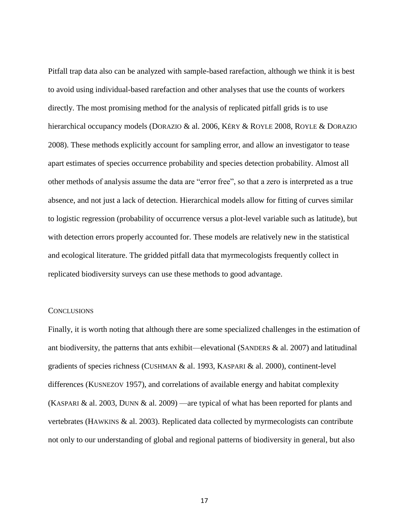Pitfall trap data also can be analyzed with sample-based rarefaction, although we think it is best to avoid using individual-based rarefaction and other analyses that use the counts of workers directly. The most promising method for the analysis of replicated pitfall grids is to use hierarchical occupancy models (DORAZIO & al. 2006, KÉRY & ROYLE 2008, ROYLE & DORAZIO 2008). These methods explicitly account for sampling error, and allow an investigator to tease apart estimates of species occurrence probability and species detection probability. Almost all other methods of analysis assume the data are "error free", so that a zero is interpreted as a true absence, and not just a lack of detection. Hierarchical models allow for fitting of curves similar to logistic regression (probability of occurrence versus a plot-level variable such as latitude), but with detection errors properly accounted for. These models are relatively new in the statistical and ecological literature. The gridded pitfall data that myrmecologists frequently collect in replicated biodiversity surveys can use these methods to good advantage.

#### **CONCLUSIONS**

Finally, it is worth noting that although there are some specialized challenges in the estimation of ant biodiversity, the patterns that ants exhibit—elevational (SANDERS & al. 2007) and latitudinal gradients of species richness (CUSHMAN & al. 1993, KASPARI & al. 2000), continent-level differences (KUSNEZOV 1957), and correlations of available energy and habitat complexity (KASPARI & al. 2003, DUNN & al. 2009) —are typical of what has been reported for plants and vertebrates (HAWKINS & al. 2003). Replicated data collected by myrmecologists can contribute not only to our understanding of global and regional patterns of biodiversity in general, but also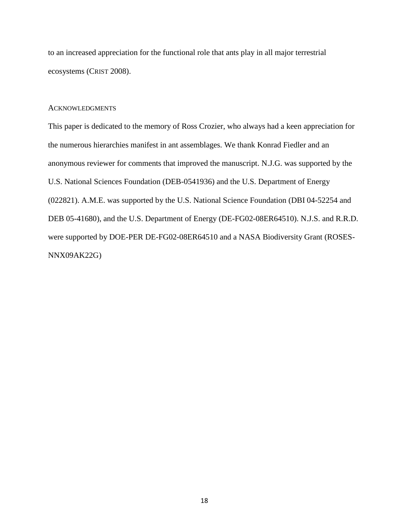to an increased appreciation for the functional role that ants play in all major terrestrial ecosystems (CRIST 2008).

#### **ACKNOWLEDGMENTS**

This paper is dedicated to the memory of Ross Crozier, who always had a keen appreciation for the numerous hierarchies manifest in ant assemblages. We thank Konrad Fiedler and an anonymous reviewer for comments that improved the manuscript. N.J.G. was supported by the U.S. National Sciences Foundation (DEB-0541936) and the U.S. Department of Energy (022821). A.M.E. was supported by the U.S. National Science Foundation (DBI 04-52254 and DEB 05-41680), and the U.S. Department of Energy (DE-FG02-08ER64510). N.J.S. and R.R.D. were supported by DOE-PER DE-FG02-08ER64510 and a NASA Biodiversity Grant (ROSES-NNX09AK22G)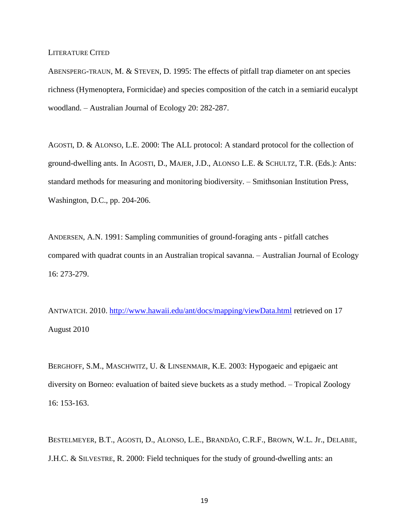LITERATURE CITED

ABENSPERG-TRAUN, M. & STEVEN, D. 1995: The effects of pitfall trap diameter on ant species richness (Hymenoptera, Formicidae) and species composition of the catch in a semiarid eucalypt woodland. – Australian Journal of Ecology 20: 282-287.

AGOSTI, D. & ALONSO, L.E. 2000: The ALL protocol: A standard protocol for the collection of ground-dwelling ants. In AGOSTI, D., MAJER, J.D., ALONSO L.E. & SCHULTZ, T.R. (Eds.): Ants: standard methods for measuring and monitoring biodiversity. – Smithsonian Institution Press, Washington, D.C., pp. 204-206.

ANDERSEN, A.N. 1991: Sampling communities of ground-foraging ants - pitfall catches compared with quadrat counts in an Australian tropical savanna. – Australian Journal of Ecology 16: 273-279.

ANTWATCH. 2010. <http://www.hawaii.edu/ant/docs/mapping/viewData.html> retrieved on 17 August 2010

BERGHOFF, S.M., MASCHWITZ, U. & LINSENMAIR, K.E. 2003: Hypogaeic and epigaeic ant diversity on Borneo: evaluation of baited sieve buckets as a study method. – Tropical Zoology 16: 153-163.

BESTELMEYER, B.T., AGOSTI, D., ALONSO, L.E., BRANDÃO, C.R.F., BROWN, W.L. Jr., DELABIE, J.H.C. & SILVESTRE, R. 2000: Field techniques for the study of ground-dwelling ants: an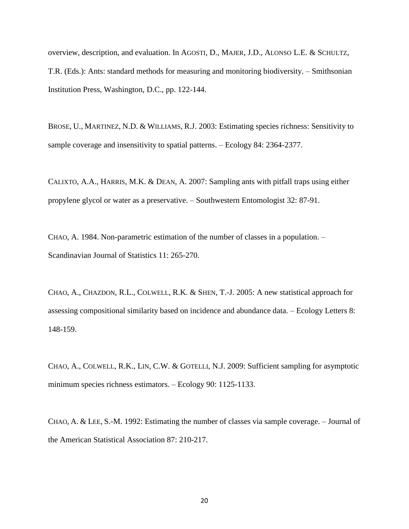overview, description, and evaluation. In AGOSTI, D., MAJER, J.D., ALONSO L.E. & SCHULTZ, T.R. (Eds.): Ants: standard methods for measuring and monitoring biodiversity. – Smithsonian Institution Press, Washington, D.C., pp. 122-144.

BROSE, U., MARTINEZ, N.D. & WILLIAMS, R.J. 2003: Estimating species richness: Sensitivity to sample coverage and insensitivity to spatial patterns. – Ecology 84: 2364-2377.

CALIXTO, A.A., HARRIS, M.K. & DEAN, A. 2007: Sampling ants with pitfall traps using either propylene glycol or water as a preservative. – Southwestern Entomologist 32: 87-91.

CHAO, A. 1984. Non-parametric estimation of the number of classes in a population. – Scandinavian Journal of Statistics 11: 265-270.

CHAO, A., CHAZDON, R.L., COLWELL, R.K. & SHEN, T.-J. 2005: A new statistical approach for assessing compositional similarity based on incidence and abundance data. – Ecology Letters 8: 148-159.

CHAO, A., COLWELL, R.K., LIN, C.W. & GOTELLI, N.J. 2009: Sufficient sampling for asymptotic minimum species richness estimators. – Ecology 90: 1125-1133.

CHAO, A. & LEE, S.-M. 1992: Estimating the number of classes via sample coverage. – Journal of the American Statistical Association 87: 210-217.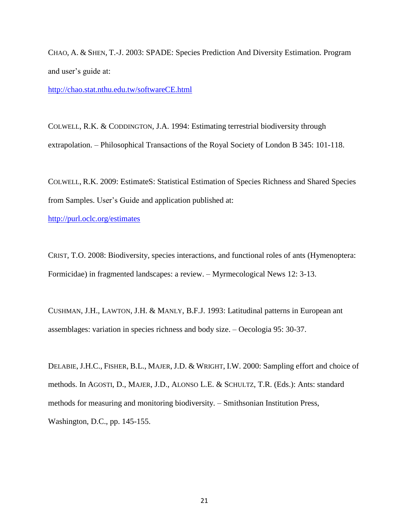CHAO, A. & SHEN, T.-J. 2003: SPADE: Species Prediction And Diversity Estimation. Program and user's guide at:

<http://chao.stat.nthu.edu.tw/softwareCE.html>

COLWELL, R.K. & CODDINGTON, J.A. 1994: Estimating terrestrial biodiversity through extrapolation. – Philosophical Transactions of the Royal Society of London B 345: 101-118.

COLWELL, R.K. 2009: EstimateS: Statistical Estimation of Species Richness and Shared Species from Samples. User's Guide and application published at:

<http://purl.oclc.org/estimates>

CRIST, T.O. 2008: Biodiversity, species interactions, and functional roles of ants (Hymenoptera: Formicidae) in fragmented landscapes: a review. – Myrmecological News 12: 3-13.

CUSHMAN, J.H., LAWTON, J.H. & MANLY, B.F.J. 1993: Latitudinal patterns in European ant assemblages: variation in species richness and body size. – Oecologia 95: 30-37.

DELABIE, J.H.C., FISHER, B.L., MAJER, J.D. & WRIGHT, I.W. 2000: Sampling effort and choice of methods. In AGOSTI, D., MAJER, J.D., ALONSO L.E. & SCHULTZ, T.R. (Eds.): Ants: standard methods for measuring and monitoring biodiversity. – Smithsonian Institution Press, Washington, D.C., pp. 145-155.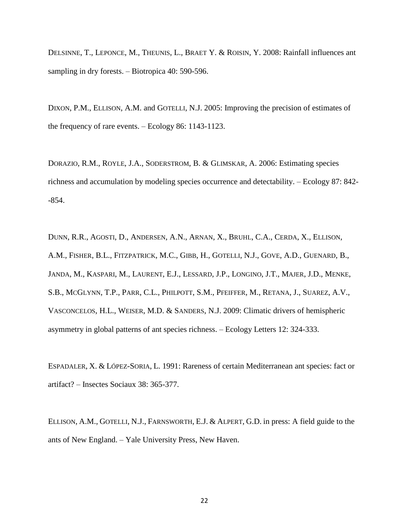DELSINNE, T., LEPONCE, M., THEUNIS, L., BRAET Y. & ROISIN, Y. 2008: Rainfall influences ant sampling in dry forests. – Biotropica 40: 590-596.

DIXON, P.M., ELLISON, A.M. and GOTELLI, N.J. 2005: Improving the precision of estimates of the frequency of rare events. – Ecology 86: 1143-1123.

DORAZIO, R.M., ROYLE, J.A., SODERSTROM, B. & GLIMSKAR, A. 2006: Estimating species richness and accumulation by modeling species occurrence and detectability. – Ecology 87: 842- -854.

DUNN, R.R., AGOSTI, D., ANDERSEN, A.N., ARNAN, X., BRUHL, C.A., CERDA, X., ELLISON, A.M., FISHER, B.L., FITZPATRICK, M.C., GIBB, H., GOTELLI, N.J., GOVE, A.D., GUENARD, B., JANDA, M., KASPARI, M., LAURENT, E.J., LESSARD, J.P., LONGINO, J.T., MAJER, J.D., MENKE, S.B., MCGLYNN, T.P., PARR, C.L., PHILPOTT, S.M., PFEIFFER, M., RETANA, J., SUAREZ, A.V., VASCONCELOS, H.L., WEISER, M.D. & SANDERS, N.J. 2009: Climatic drivers of hemispheric asymmetry in global patterns of ant species richness. – Ecology Letters 12: 324-333.

ESPADALER, X. & LÓPEZ-SORIA, L. 1991: Rareness of certain Mediterranean ant species: fact or artifact? – Insectes Sociaux 38: 365-377.

ELLISON, A.M., GOTELLI, N.J., FARNSWORTH, E.J. & ALPERT, G.D. in press: A field guide to the ants of New England. – Yale University Press, New Haven.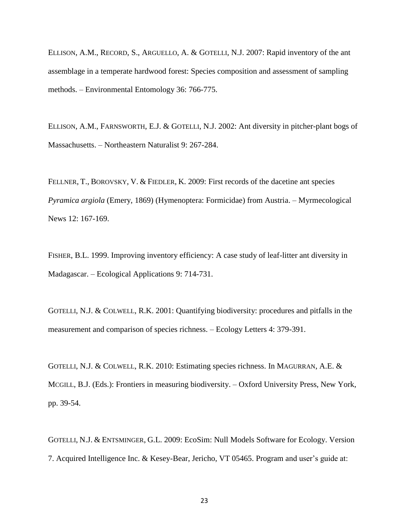ELLISON, A.M., RECORD, S., ARGUELLO, A. & GOTELLI, N.J. 2007: Rapid inventory of the ant assemblage in a temperate hardwood forest: Species composition and assessment of sampling methods. – Environmental Entomology 36: 766-775.

ELLISON, A.M., FARNSWORTH, E.J. & GOTELLI, N.J. 2002: Ant diversity in pitcher-plant bogs of Massachusetts. – Northeastern Naturalist 9: 267-284.

FELLNER, T., BOROVSKY, V. & FIEDLER, K. 2009: First records of the dacetine ant species *Pyramica argiola* (Emery, 1869) (Hymenoptera: Formicidae) from Austria. – Myrmecological News 12: 167-169.

FISHER, B.L. 1999. Improving inventory efficiency: A case study of leaf-litter ant diversity in Madagascar. – Ecological Applications 9: 714-731.

GOTELLI, N.J. & COLWELL, R.K. 2001: Quantifying biodiversity: procedures and pitfalls in the measurement and comparison of species richness. – Ecology Letters 4: 379-391.

GOTELLI, N.J. & COLWELL, R.K. 2010: Estimating species richness. In MAGURRAN, A.E. & MCGILL, B.J. (Eds.): Frontiers in measuring biodiversity. – Oxford University Press, New York, pp. 39-54.

GOTELLI, N.J. & ENTSMINGER, G.L. 2009: EcoSim: Null Models Software for Ecology. Version 7. Acquired Intelligence Inc. & Kesey-Bear, Jericho, VT 05465. Program and user's guide at: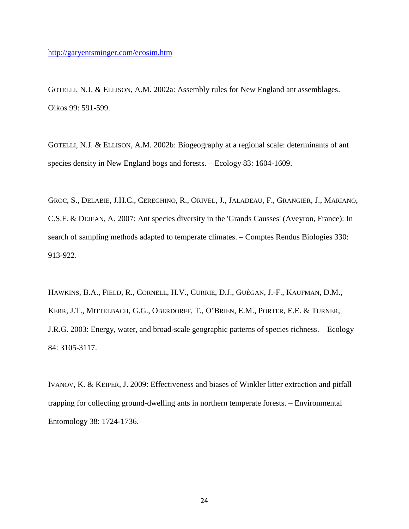GOTELLI, N.J. & ELLISON, A.M. 2002a: Assembly rules for New England ant assemblages. – Oikos 99: 591-599.

GOTELLI, N.J. & ELLISON, A.M. 2002b: Biogeography at a regional scale: determinants of ant species density in New England bogs and forests. – Ecology 83: 1604-1609.

GROC, S., DELABIE, J.H.C., CEREGHINO, R., ORIVEL, J., JALADEAU, F., GRANGIER, J., MARIANO, C.S.F. & DEJEAN, A. 2007: Ant species diversity in the 'Grands Causses' (Aveyron, France): In search of sampling methods adapted to temperate climates. – Comptes Rendus Biologies 330: 913-922.

HAWKINS, B.A., FIELD, R., CORNELL, H.V., CURRIE, D.J., GUÉGAN, J.-F., KAUFMAN, D.M., KERR, J.T., MITTELBACH, G.G., OBERDORFF, T., O'BRIEN, E.M., PORTER, E.E. & TURNER, J.R.G. 2003: Energy, water, and broad-scale geographic patterns of species richness. – Ecology 84: 3105-3117.

IVANOV, K. & KEIPER, J. 2009: Effectiveness and biases of Winkler litter extraction and pitfall trapping for collecting ground-dwelling ants in northern temperate forests. – Environmental Entomology 38: 1724-1736.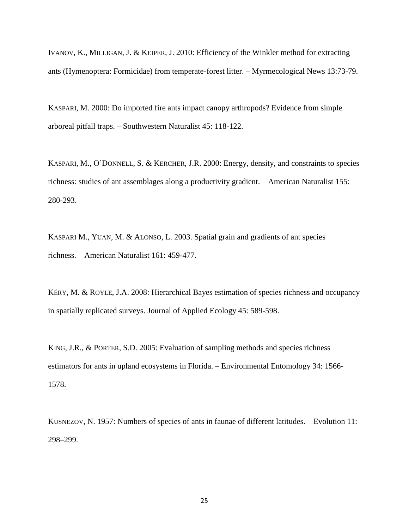IVANOV, K., MILLIGAN, J. & KEIPER, J. 2010: Efficiency of the Winkler method for extracting ants (Hymenoptera: Formicidae) from temperate-forest litter. – Myrmecological News 13:73-79.

KASPARI, M. 2000: Do imported fire ants impact canopy arthropods? Evidence from simple arboreal pitfall traps. – Southwestern Naturalist 45: 118-122.

KASPARI, M., O'DONNELL, S. & KERCHER, J.R. 2000: Energy, density, and constraints to species richness: studies of ant assemblages along a productivity gradient. – American Naturalist 155: 280-293.

KASPARI M., YUAN, M. & ALONSO, L. 2003. Spatial grain and gradients of ant species richness. – American Naturalist 161: 459-477.

KÉRY, M. & ROYLE, J.A. 2008: Hierarchical Bayes estimation of species richness and occupancy in spatially replicated surveys. Journal of Applied Ecology 45: 589-598.

KING, J.R., & PORTER, S.D. 2005: Evaluation of sampling methods and species richness estimators for ants in upland ecosystems in Florida. – Environmental Entomology 34: 1566- 1578.

KUSNEZOV, N. 1957: Numbers of species of ants in faunae of different latitudes. – Evolution 11: 298–299.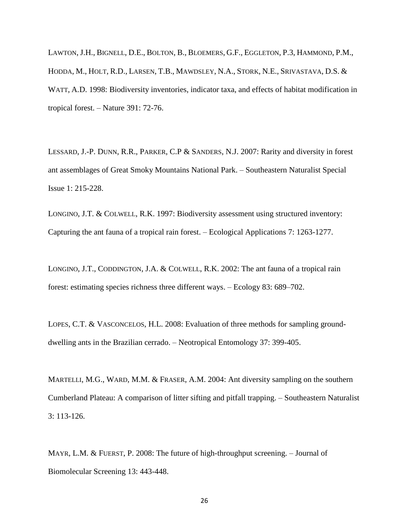LAWTON, J.H., BIGNELL, D.E., BOLTON, B., BLOEMERS, G.F., EGGLETON, P.3, HAMMOND, P.M., HODDA, M., HOLT, R.D., LARSEN, T.B., MAWDSLEY, N.A., STORK, N.E., SRIVASTAVA, D.S. & WATT, A.D. 1998: Biodiversity inventories, indicator taxa, and effects of habitat modification in tropical forest. – Nature 391: 72-76.

LESSARD, J.-P. DUNN, R.R., PARKER, C.P & SANDERS, N.J. 2007: Rarity and diversity in forest ant assemblages of Great Smoky Mountains National Park. – Southeastern Naturalist Special Issue 1: 215-228.

LONGINO, J.T. & COLWELL, R.K. 1997: Biodiversity assessment using structured inventory: Capturing the ant fauna of a tropical rain forest. – Ecological Applications 7: 1263-1277.

LONGINO, J.T., CODDINGTON, J.A. & COLWELL, R.K. 2002: The ant fauna of a tropical rain forest: estimating species richness three different ways. – Ecology 83: 689–702.

LOPES, C.T. & VASCONCELOS, H.L. 2008: Evaluation of three methods for sampling grounddwelling ants in the Brazilian cerrado. – Neotropical Entomology 37: 399-405.

MARTELLI, M.G., WARD, M.M. & FRASER, A.M. 2004: Ant diversity sampling on the southern Cumberland Plateau: A comparison of litter sifting and pitfall trapping. – Southeastern Naturalist 3: 113-126.

MAYR, L.M. & FUERST, P. 2008: The future of high-throughput screening. – Journal of Biomolecular Screening 13: 443-448.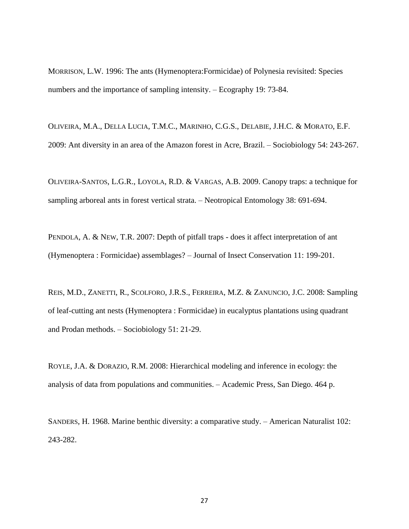MORRISON, L.W. 1996: The ants (Hymenoptera:Formicidae) of Polynesia revisited: Species numbers and the importance of sampling intensity. – Ecography 19: 73-84.

OLIVEIRA, M.A., DELLA LUCIA, T.M.C., MARINHO, C.G.S., DELABIE, J.H.C. & MORATO, E.F. 2009: Ant diversity in an area of the Amazon forest in Acre, Brazil. – Sociobiology 54: 243-267.

OLIVEIRA-SANTOS, L.G.R., LOYOLA, R.D. & VARGAS, A.B. 2009. Canopy traps: a technique for sampling arboreal ants in forest vertical strata. – Neotropical Entomology 38: 691-694.

PENDOLA, A. & NEW, T.R. 2007: Depth of pitfall traps - does it affect interpretation of ant (Hymenoptera : Formicidae) assemblages? – Journal of Insect Conservation 11: 199-201.

REIS, M.D., ZANETTI, R., SCOLFORO, J.R.S., FERREIRA, M.Z. & ZANUNCIO, J.C. 2008: Sampling of leaf-cutting ant nests (Hymenoptera : Formicidae) in eucalyptus plantations using quadrant and Prodan methods. – Sociobiology 51: 21-29.

ROYLE, J.A. & DORAZIO, R.M. 2008: Hierarchical modeling and inference in ecology: the analysis of data from populations and communities. – Academic Press, San Diego. 464 p.

SANDERS, H. 1968. Marine benthic diversity: a comparative study. – American Naturalist 102: 243-282.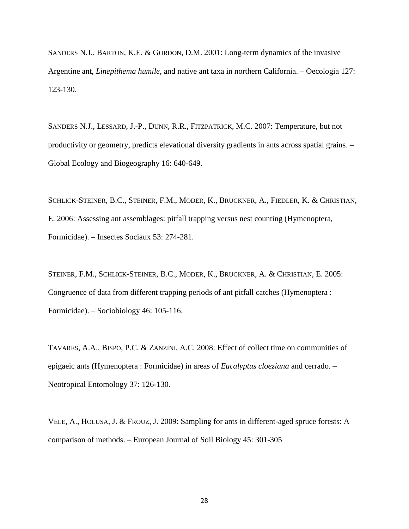SANDERS N.J., BARTON, K.E. & GORDON, D.M. 2001: Long-term dynamics of the invasive Argentine ant, *Linepithema humile*, and native ant taxa in northern California. – Oecologia 127: 123-130.

SANDERS N.J., LESSARD, J.-P., DUNN, R.R., FITZPATRICK, M.C. 2007: Temperature, but not productivity or geometry, predicts elevational diversity gradients in ants across spatial grains. – Global Ecology and Biogeography 16: 640-649.

SCHLICK-STEINER, B.C., STEINER, F.M., MODER, K., BRUCKNER, A., FIEDLER, K. & CHRISTIAN, E. 2006: Assessing ant assemblages: pitfall trapping versus nest counting (Hymenoptera, Formicidae). – Insectes Sociaux 53: 274-281.

STEINER, F.M., SCHLICK-STEINER, B.C., MODER, K., BRUCKNER, A. & CHRISTIAN, E. 2005: Congruence of data from different trapping periods of ant pitfall catches (Hymenoptera : Formicidae). – Sociobiology 46: 105-116.

TAVARES, A.A., BISPO, P.C. & ZANZINI, A.C. 2008: Effect of collect time on communities of epigaeic ants (Hymenoptera : Formicidae) in areas of *Eucalyptus cloeziana* and cerrado. – Neotropical Entomology 37: 126-130.

VELE, A., HOLUSA, J. & FROUZ, J. 2009: Sampling for ants in different-aged spruce forests: A comparison of methods. – European Journal of Soil Biology 45: 301-305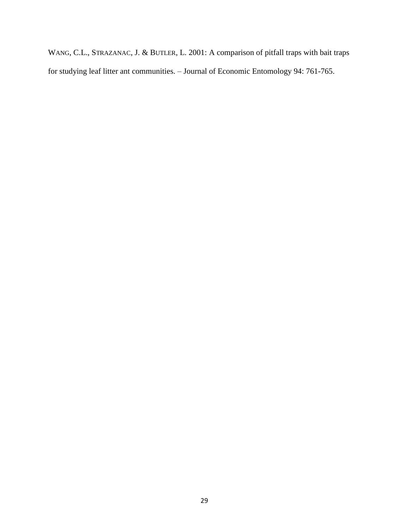WANG, C.L., STRAZANAC, J. & BUTLER, L. 2001: A comparison of pitfall traps with bait traps for studying leaf litter ant communities. – Journal of Economic Entomology 94: 761-765.